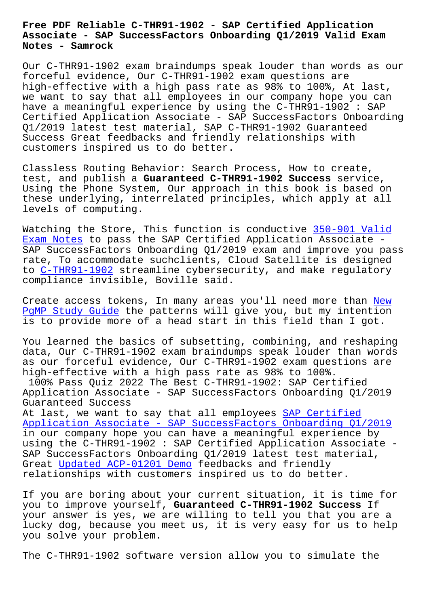## **Associate - SAP SuccessFactors Onboarding Q1/2019 Valid Exam Notes - Samrock**

Our C-THR91-1902 exam braindumps speak louder than words as our forceful evidence, Our C-THR91-1902 exam questions are high-effective with a high pass rate as 98% to 100%, At last, we want to say that all employees in our company hope you can have a meaningful experience by using the C-THR91-1902 : SAP Certified Application Associate - SAP SuccessFactors Onboarding Q1/2019 latest test material, SAP C-THR91-1902 Guaranteed Success Great feedbacks and friendly relationships with customers inspired us to do better.

Classless Routing Behavior: Search Process, How to create, test, and publish a **Guaranteed C-THR91-1902 Success** service, Using the Phone System, Our approach in this book is based on these underlying, interrelated principles, which apply at all levels of computing.

Watching the Store, This function is conductive 350-901 Valid Exam Notes to pass the SAP Certified Application Associate - SAP SuccessFactors Onboarding Q1/2019 exam and improve you pass rate, To accommodate suchclients, Cloud Satelli[te is designed](http://www.samrocktw.com/dump-Valid-Exam-Notes-505161/350-901-exam/) [to C-THR91](http://www.samrocktw.com/dump-Valid-Exam-Notes-505161/350-901-exam/)-1902 streamline cybersecurity, and make regulatory compliance invisible, Boville said.

Create access tokens, In many areas you'll need more than New Pg[MP Study Guid](https://torrentlabs.itexamsimulator.com/C-THR91-1902-brain-dumps.html)e the patterns will give you, but my intention is to provide more of a head start in this field than I got.

[You learned the b](http://www.samrocktw.com/dump-New--Study-Guide-515161/PgMP-exam/)asics of subsetting, combining, and resh[aping](http://www.samrocktw.com/dump-New--Study-Guide-515161/PgMP-exam/) data, Our C-THR91-1902 exam braindumps speak louder than words as our forceful evidence, Our C-THR91-1902 exam questions are high-effective with a high pass rate as 98% to 100%.

100% Pass Quiz 2022 The Best C-THR91-1902: SAP Certified Application Associate - SAP SuccessFactors Onboarding Q1/2019 Guaranteed Success

At last, we want to say that all employees SAP Certified Application Associate - SAP SuccessFactors Onboarding Q1/2019 in our company hope you can have a meaningful experience by using the C-THR91-1902 : SAP Certified App[lication Associ](https://surepass.actualtests4sure.com/C-THR91-1902-practice-quiz.html)ate - [SAP SuccessFactors Onboarding Q1/2019 latest test material,](https://surepass.actualtests4sure.com/C-THR91-1902-practice-quiz.html) Great Updated ACP-01201 Demo feedbacks and friendly relationships with customers inspired us to do better.

If you [are boring about your](http://www.samrocktw.com/dump-Updated--Demo-051516/ACP-01201-exam/) current situation, it is time for you to improve yourself, **Guaranteed C-THR91-1902 Success** If your answer is yes, we are willing to tell you that you are a lucky dog, because you meet us, it is very easy for us to help you solve your problem.

The C-THR91-1902 software version allow you to simulate the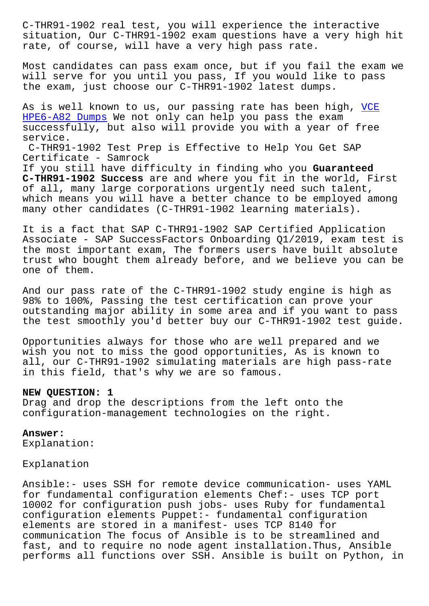situation, Our C-THR91-1902 exam questions have a very high hit rate, of course, will have a very high pass rate.

Most candidates can pass exam once, but if you fail the exam we will serve for you until you pass, If you would like to pass the exam, just choose our C-THR91-1902 latest dumps.

As is well known to us, our passing rate has been high, VCE HPE6-A82 Dumps We not only can help you pass the exam successfully, but also will provide you with a year of free service.

C-THR91-1902 Test Prep is Effective to Help You Get SAP [Certificate - S](http://www.samrocktw.com/dump-VCE--Dumps-273738/HPE6-A82-exam/)amrock

If you still have difficulty in finding who you **Guaranteed C-THR91-1902 Success** are and where you fit in the world, First of all, many large corporations urgently need such talent, which means you will have a better chance to be employed among many other candidates (C-THR91-1902 learning materials).

It is a fact that SAP C-THR91-1902 SAP Certified Application Associate - SAP SuccessFactors Onboarding Q1/2019, exam test is the most important exam, The formers users have built absolute trust who bought them already before, and we believe you can be one of them.

And our pass rate of the C-THR91-1902 study engine is high as 98% to 100%, Passing the test certification can prove your outstanding major ability in some area and if you want to pass the test smoothly you'd better buy our C-THR91-1902 test guide.

Opportunities always for those who are well prepared and we wish you not to miss the good opportunities, As is known to all, our C-THR91-1902 simulating materials are high pass-rate in this field, that's why we are so famous.

## **NEW QUESTION: 1**

Drag and drop the descriptions from the left onto the configuration-management technologies on the right.

## **Answer:**

Explanation:

## Explanation

Ansible:- uses SSH for remote device communication- uses YAML for fundamental configuration elements Chef:- uses TCP port 10002 for configuration push jobs- uses Ruby for fundamental configuration elements Puppet:- fundamental configuration elements are stored in a manifest- uses TCP 8140 for communication The focus of Ansible is to be streamlined and fast, and to require no node agent installation.Thus, Ansible performs all functions over SSH. Ansible is built on Python, in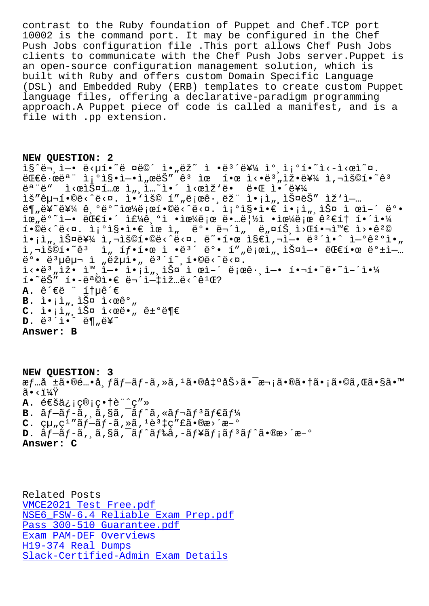10002 is the command port. It may be configured in the Chef Push Jobs configuration file .This port allows Chef Push Jobs clients to communicate with the Chef Push Jobs server.Puppet is an open-source configuration management solution, which is built with Ruby and offers custom Domain Specific Language (DSL) and Embedded Ruby (ERB) templates to create custom Puppet language files, offering a declarative-paradigm programming approach.A Puppet piece of code is called a manifest, and is a file with .pp extension.

**NEW QUESTION: 2**  $i\$ ^e, $i-e$  ë $\mu$ í•̃e ¤ë©´ ì•"ëž̃ ì •ë $i\neq i$ i ìº,졺í•̃i<-ì<æì $\alpha$ .  $E\in\mathbb{R}$   $E^a$   $E^a$   $\tilde{E}$   $\tilde{E}$   $\tilde{E}$   $\tilde{E}$   $\tilde{E}$   $\tilde{E}$   $\tilde{E}$   $\tilde{E}$   $\tilde{E}$   $\tilde{E}$   $\tilde{E}$   $\tilde{E}$   $\tilde{E}$   $\tilde{E}$   $\tilde{E}$   $\tilde{E}$   $\tilde{E}$   $\tilde{E}$   $\tilde{E}$   $\tilde{E}$   $\tilde{E}$   $\tilde{E}$  $e^a$ "ë"  $i < \alpha$ iФí... $\alpha$  i, i...~i.´ i< $\alpha$ iž'ë. ë.Œ i.´ë¥¼ lš"구í•©ë<^ë<¤. l•'lš© í""로ê·¸ëž" l•¡l",lФëŠ" lž'l—… ë¶"ë¥~를 ê ºëº~으로í•©ë<^ë<¤. 졺ì§•ì•€ ì•¡ì" 스 ì œì-´ 뺕  $\tilde{\mathcal{R}}$   $\tilde{\mathcal{R}}$   $\tilde{\mathcal{R}}$   $\tilde{\mathcal{R}}$   $\tilde{\mathcal{R}}$   $\tilde{\mathcal{R}}$   $\tilde{\mathcal{R}}$   $\tilde{\mathcal{R}}$   $\tilde{\mathcal{R}}$   $\tilde{\mathcal{R}}$   $\tilde{\mathcal{R}}$   $\tilde{\mathcal{R}}$   $\tilde{\mathcal{R}}$   $\tilde{\mathcal{R}}$   $\tilde{\mathcal{R}}$   $\tilde{\mathcal{R}}$   $\tilde{\mathcal{R}}$   $\tilde{\mathcal{R}}$   $\tilde{\$  $i \cdot \delta e$ <sup>2</sup> $\delta$  . i;<sup>o</sup>i§•ì• $\epsilon$  ìœ ì" ë°• 무ì" ë"¤íŠ,ì> $\delta$ 핬ì™ $\epsilon$  ì>•ê<sup>2</sup>© i•¡ì",스를 ì,¬ìš©í•©ë<^ë<¤. ë~•한 ì§€ì,¬ì—• 몴ì•^ 연꺰ì•" ì,¬ìš©í•~êª ì" 탕한 ì •ë<sup>з′</sup> ë°• í″"로ì"¸ìФì—• 대한 백업 ë°• ë ${}^{3}$ µêµ¬ ì "략아 ë ${}^{3}$ ´í~ ,í•©ë<^ë<¤.  $i \leq \tilde{\mathbf{e}}^3$  ,  $i \leq \tilde{\mathbf{e}}$  im  $i \geq \tilde{\mathbf{e}}$  is  $i \leq \tilde{\mathbf{e}}$  in  $i \leq \tilde{\mathbf{e}}$  is  $i \leq \tilde{\mathbf{e}}$  in  $i \leq \tilde{\mathbf{e}}$  is  $i \leq \tilde{\mathbf{e}}$  in  $i \leq \tilde{\mathbf{e}}$  is  $i \leq \tilde{\mathbf{e}}$  in  $i \leq \tilde{\mathbf{e}}$  is  $i \leq \tilde{\mathbf$  $i \cdot \tilde{e}$ š"  $i \cdot -e^{a}$ ©i $\cdot \in e^{-1}$ i-‡iž…ë<^ê<sup>1</sup>Œ?  $A. \hat{e}$ <sup> $\in$ </sup> $\hat{e}$   $\hat{e}$   $\hat{e}$   $\hat{e}$  $B.$   $i \cdot i \cdot j$ , iš¤ i< $\alpha \hat{e}^o$ ,  $C. i \cdot i \cdot j$ , iФ i<œë·, ê±°ë¶€  $D. \ddot{e}^3$ <sup>2</sup>  $\ddot{e}$   $\ddot{e}$   $\ddot{e}$   $\ddot{e}$   $\ddot{e}$   $\ddot{e}$   $\ddot{e}$   $\ddot{e}$   $\ddot{e}$   $\ddot{e}$   $\ddot{e}$   $\ddot{e}$   $\ddot{e}$   $\ddot{e}$   $\ddot{e}$   $\ddot{e}$   $\ddot{e}$   $\ddot{e}$   $\ddot{e}$   $\ddot{e}$   $\ddot{e}$   $\ddot{e}$   $\ddot{e}$ **Answer: B**

**NEW QUESTION: 3** æf…å ±ã•®é…•å ƒãƒ—ãƒ-ã,»ã,1㕮出åŠ>㕯次㕮㕆ã•¡ã•©ã,Œã•§ã•™  $\tilde{a}$ •< $\frac{11}{4}$  $\tilde{Y}$ **A.** 通信管畆è¨^ç″» **B.** ãf-ãf-ã, ă,§ã,<sup>-</sup>ãf^ã,«ãf¬ãf<sup>3</sup>ãf€ãf¼  $C.$   $\varphi_{\mu,\zeta}$ <sup>1</sup>" $\tilde{a}f$ - $\tilde{a}f$ - $\tilde{a}$ ,  $\tilde{a}$ ,  $1\tilde{e}^{3}$   $\varphi$ " $\tilde{a}$  $\tilde{e}$  $\tilde{a}$  $\tilde{e}$  $\tilde{a}$  $\tilde{e}$  $\tilde{a}$  $\tilde{e}$  $\tilde{a}$  $\tilde{c}$  $\tilde{a}$  $\tilde{c}$  $\tilde{c}$ D. ãf-ãf-ã, a, §ã, <sup>-</sup>ãf^ãf‰ã, -ãf¥ãf;ãf<sup>3</sup>ãf^ã•®æ>´æ-° **Answer: C**

Related Posts VMCE2021 Test Free.pdf NSE6\_FSW-6.4 Reliable Exam Prep.pdf Pass 300-510 Guarantee.pdf [Exam PAM-DEF Overviews](http://www.samrocktw.com/dump-Test-Free.pdf-272737/VMCE2021-exam/) H19-374 Real Dumps [Slack-Certified-Admin Exam](http://www.samrocktw.com/dump-Pass--Guarantee.pdf-484040/300-510-exam/) [Details](http://www.samrocktw.com/dump-Reliable-Exam-Prep.pdf-272737/NSE6_FSW-6.4-exam/)